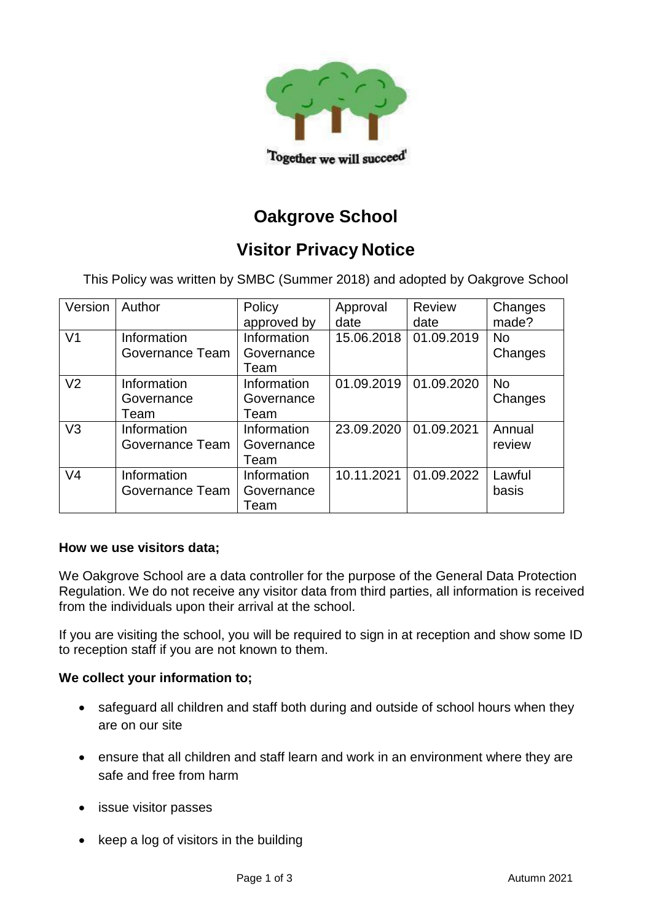

# **Oakgrove School**

# **Visitor Privacy Notice**

This Policy was written by SMBC (Summer 2018) and adopted by Oakgrove School

| Version        | Author                            | Policy<br>approved by             | Approval<br>date | Review<br>date | Changes<br>made?     |
|----------------|-----------------------------------|-----------------------------------|------------------|----------------|----------------------|
| V <sub>1</sub> | Information<br>Governance Team    | Information<br>Governance<br>Team | 15.06.2018       | 01.09.2019     | <b>No</b><br>Changes |
| V <sub>2</sub> | Information<br>Governance<br>Team | Information<br>Governance<br>Team | 01.09.2019       | 01.09.2020     | <b>No</b><br>Changes |
| V <sub>3</sub> | Information<br>Governance Team    | Information<br>Governance<br>Team | 23.09.2020       | 01.09.2021     | Annual<br>review     |
| V <sub>4</sub> | Information<br>Governance Team    | Information<br>Governance<br>Team | 10.11.2021       | 01.09.2022     | Lawful<br>basis      |

#### **How we use visitors data;**

We Oakgrove School are a data controller for the purpose of the General Data Protection Regulation. We do not receive any visitor data from third parties, all information is received from the individuals upon their arrival at the school.

If you are visiting the school, you will be required to sign in at reception and show some ID to reception staff if you are not known to them.

#### **We collect your information to;**

- safeguard all children and staff both during and outside of school hours when they are on our site
- ensure that all children and staff learn and work in an environment where they are safe and free from harm
- issue visitor passes
- keep a log of visitors in the building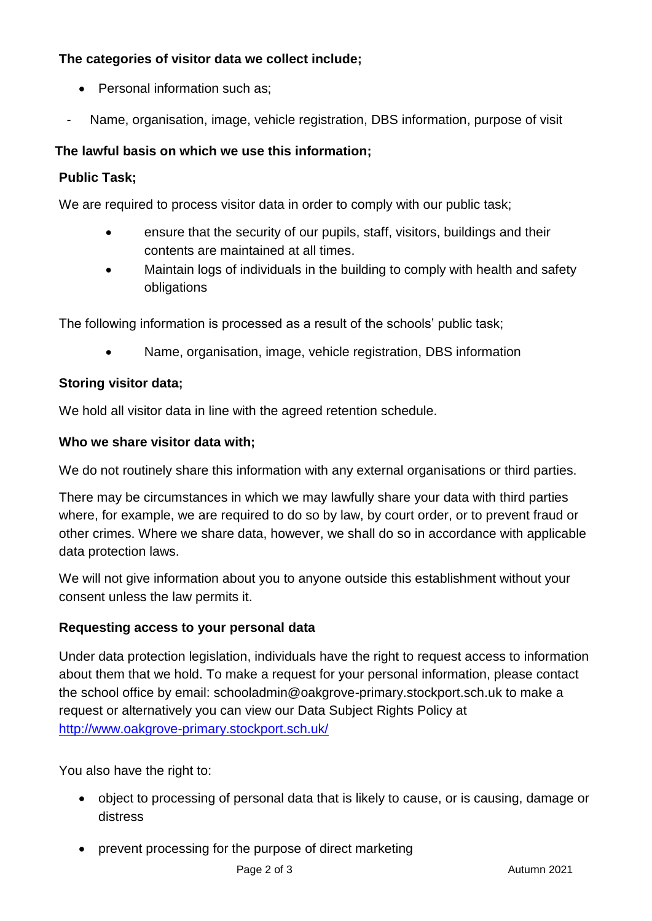# **The categories of visitor data we collect include;**

- Personal information such as:
- Name, organisation, image, vehicle registration, DBS information, purpose of visit

## **The lawful basis on which we use this information;**

### **Public Task;**

We are required to process visitor data in order to comply with our public task;

- ensure that the security of our pupils, staff, visitors, buildings and their contents are maintained at all times.
- Maintain logs of individuals in the building to comply with health and safety obligations

The following information is processed as a result of the schools' public task;

• Name, organisation, image, vehicle registration, DBS information

#### **Storing visitor data;**

We hold all visitor data in line with the agreed retention schedule.

#### **Who we share visitor data with;**

We do not routinely share this information with any external organisations or third parties.

There may be circumstances in which we may lawfully share your data with third parties where, for example, we are required to do so by law, by court order, or to prevent fraud or other crimes. Where we share data, however, we shall do so in accordance with applicable data protection laws.

We will not give information about you to anyone outside this establishment without your consent unless the law permits it.

### **Requesting access to your personal data**

Under data protection legislation, individuals have the right to request access to information about them that we hold. To make a request for your personal information, please contact the school office by email: schooladmin@oakgrove-primary.stockport.sch.uk to make a request or alternatively you can view our Data Subject Rights Policy at <http://www.oakgrove-primary.stockport.sch.uk/>

You also have the right to:

- object to processing of personal data that is likely to cause, or is causing, damage or distress
- prevent processing for the purpose of direct marketing